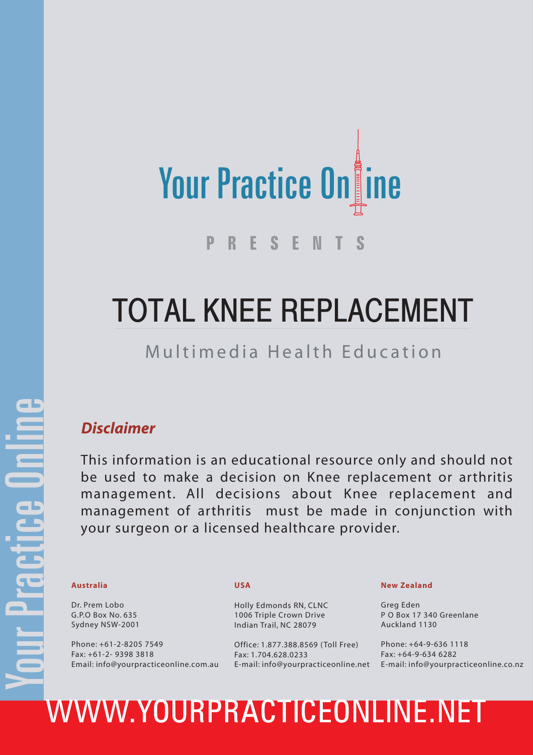

# TOTAL KNEE REPLACEMENT

### Multimedia Health Education

### *Disclaimer*

This information is an educational resource only and should not be used to make a decision on Knee replacement or arthritis management. All decisions about Knee replacement and management of arthritis must be made in conjunction with your surgeon or a licensed healthcare provider.

Dr. Prem Lobo G.P.O Box No. 635 Sydney NSW-2001

Phone: +61-2-8205 7549 Fax: +61-2- 9398 3818 Email: info@yourpracticeonline.com.au

### **USA**

Holly Edmonds RN, CLNC 1006 Triple Crown Drive Indian Trail, NC 28079

Office: 1.877.388.8569 ( Toll Free) Fax: 1.704.628.0233

### **New Zealand**

Greg Eden P O Box 17 340 Greenlane Auckland 1130

E-mail: info@yourpracticeonline.net E-mail: info@yourpracticeonline.co.nz Phone: +64-9-636 1118 Fax: +64-9-634 6282

# Australia USA<br>
Dr. Prem Lobo<br>
G.P.O Box No. 635<br>
Sydney NSW-2001<br>
Phone: +61-2-8205 7549<br>
Phone: +61-2-8205 7549<br>
Phone: +61-2-8205 7549<br>
Phone: +61-2-8205 7549<br>
Fax: +61-2-9398 3818<br>
Fax: +61-2-9398 3818<br>
Email: info@your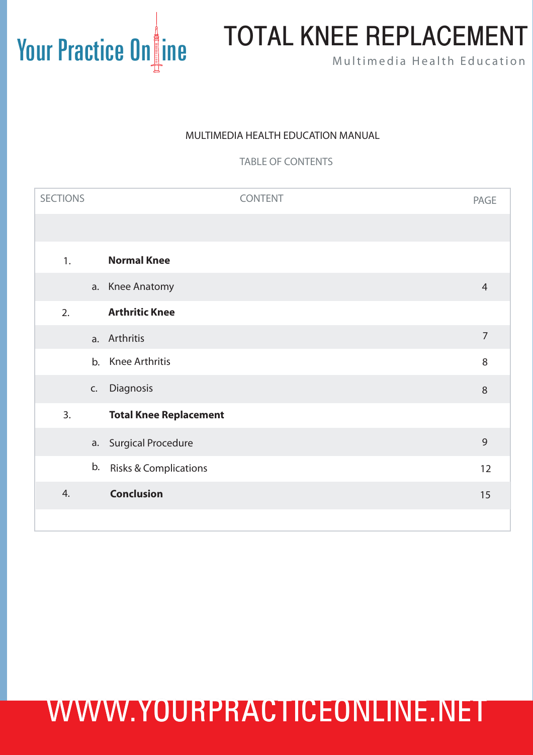# Your Practice On ine TOTAL KNEE REPLACEMENT

### MULTIMEDIA HEALTH EDUCATION MANUAL

TABLE OF CONTENTS

| <b>SECTIONS</b> | <b>CONTENT</b>                   | <b>PAGE</b>    |
|-----------------|----------------------------------|----------------|
|                 |                                  |                |
| 1.              | <b>Normal Knee</b>               |                |
|                 | a. Knee Anatomy                  | $\overline{4}$ |
| 2.              | <b>Arthritic Knee</b>            |                |
|                 | a. Arthritis                     | $\overline{7}$ |
| b.              | Knee Arthritis                   | 8              |
| C.              | Diagnosis                        | $8\,$          |
| 3.              | <b>Total Knee Replacement</b>    |                |
|                 | a. Surgical Procedure            | $\overline{9}$ |
| b.              | <b>Risks &amp; Complications</b> | 12             |
| 4.              | <b>Conclusion</b>                | 15             |
|                 |                                  |                |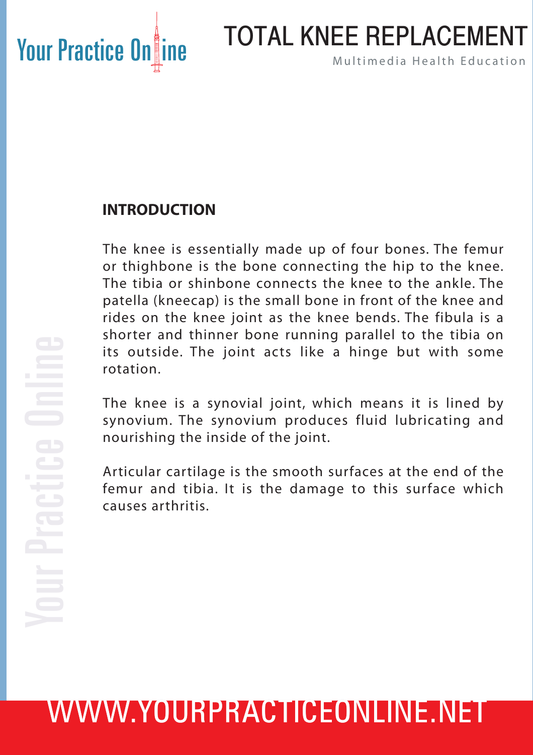# Your Practice On ine Mand TOTAL KNEE REPLACEMENT TOTAL KNEE REPLACEMENT

### **INTRODUCTION**

The knee is essentially made up of four bones. The femur or thighbone is the bone connecting the hip to the knee. The tibia or shinbone connects the knee to the ankle. The patella (kneecap) is the small bone in front of the knee and rides on the knee joint as the knee bends. The fibula is a shorter and thinner bone running parallel to the tibia on its outside. The joint acts like a hinge but with some rotation.

The knee is a synovial joint, which means it is lined by synovium. The synovium produces fluid lubricating and nourishing the inside of the joint.

Articular cartilage is the smooth surfaces at the end of the femur and tibia. It is the damage to this surface which causes arthritis.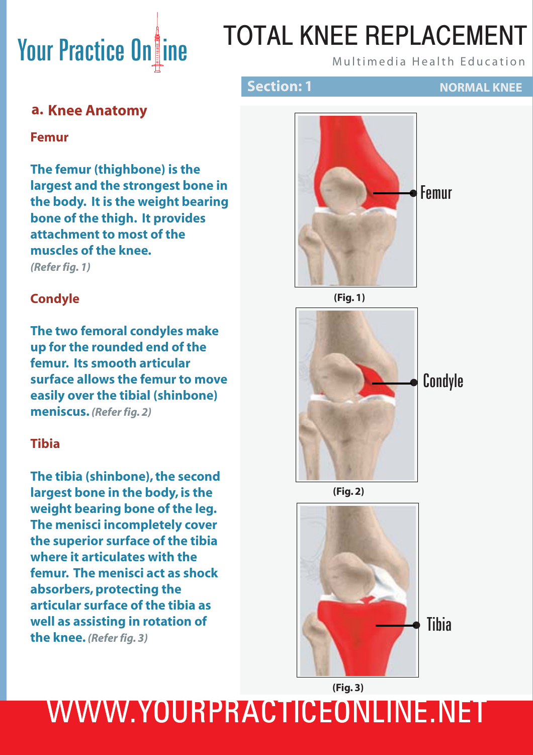# Your Practice On ine MUTAL KNEE REPLACEMENT TOTAL KNEE REPLACEMENT

**Section: 1 NORMAL KNEE** 

### **a. Knee Anatomy**

**Femur**

**The femur (thighbone) is the largest and the strongest bone in the body. It is the weight bearing bone of the thigh. It provides attachment to most of the muscles of the knee.** *(Refer fig. 1)*

### **Condyle**

**The two femoral condyles make up for the rounded end of the femur. Its smooth articular surface allows the femur to move easily over the tibial (shinbone) meniscus.** *(Refer fig. 2)*

### **Tibia**

**The tibia (shinbone), the second largest bone in the body, is the weight bearing bone of the leg. The menisci incompletely cover the superior surface of the tibia where it articulates with the femur. The menisci act as shock absorbers, protecting the articular surface of the tibia as well as assisting in rotation of the knee.** *(Refer fig. 3)*





**(Fig. 1)**

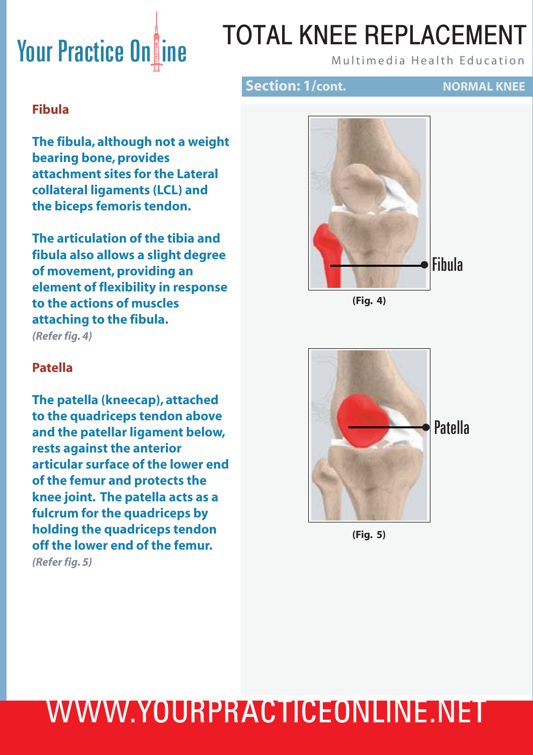# Your Practice Online Multimedia Health Education

# TOTAL KNEE REPLACEMENT

### **Section: 1/cont. NORMAL KNEE**

## **Fibula**

**The fibula, although not a weight bearing bone, provides attachment sites for the Lateral collateral ligaments (LCL) and the biceps femoris tendon.** 

**The articulation of the tibia and fibula also allows a slight degree of movement, providing an element of flexibility in response to the actions of muscles attaching to the fibula.**  *(Refer fig. 4)*

# Fibula •



### **Patella**

**The patella (kneecap), attached to the quadriceps tendon above and the patellar ligament below, rests against the anterior articular surface of the lower end of the femur and protects the knee joint. The patella acts as a fulcrum for the quadriceps by holding the quadriceps tendon off the lower end of the femur.**

*(Refer fig. 5)*



**(Fig. 5)**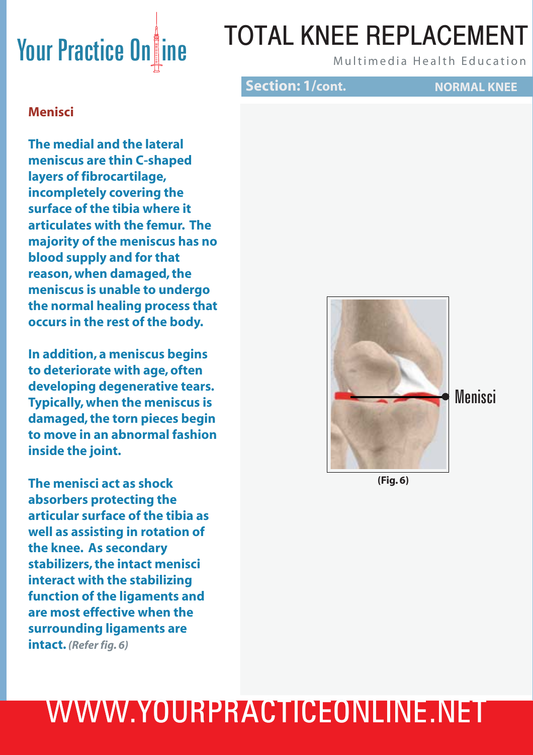# Your Practice On ine Mand TOTAL KNEE REPLACEMENT TOTAL KNEE REPLACEMENT

**Section: 1/cont. NORMAL KNEE** 

### **Menisci**

**The medial and the lateral meniscus are thin C-shaped layers of fibrocartilage, incompletely covering the surface of the tibia where it articulates with the femur. The majority of the meniscus has no blood supply and for that reason, when damaged, the meniscus is unable to undergo the normal healing process that occurs in the rest of the body.** 

**In addition, a meniscus begins to deteriorate with age, often developing degenerative tears. Typically, when the meniscus is damaged, the torn pieces begin to move in an abnormal fashion inside the joint.**

**The menisci act as shock absorbers protecting the articular surface of the tibia as well as assisting in rotation of the knee. As secondary stabilizers, the intact menisci interact with the stabilizing function of the ligaments and are most effective when the surrounding ligaments are intact.** *(Refer fig. 6)*



**(Fig. 6)**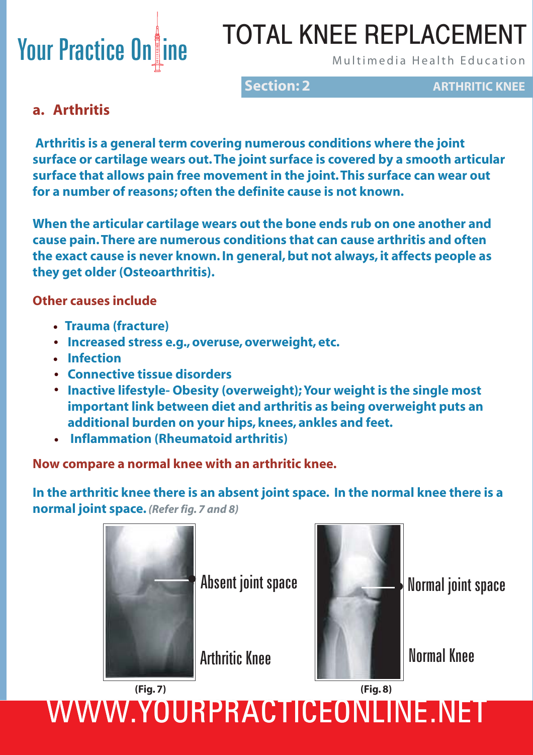# Your Practice On ine MUTAL KNEE REPLACEMENT TOTAL KNEE REPLACEMENT

**Section: 2 ARTHRITIC KNEE** 

### **a. Arthritis**

 **Arthritis is a general term covering numerous conditions where the joint surface or cartilage wears out. The joint surface is covered by a smooth articular surface that allows pain free movement in the joint. This surface can wear out for a number of reasons; often the definite cause is not known.** 

**When the articular cartilage wears out the bone ends rub on one another and cause pain. There are numerous conditions that can cause arthritis and often the exact cause is never known. In general, but not always, it affects people as they get older (Osteoarthritis).**

### **Other causes include**

- **Trauma (fracture) •**
- **Increased stress e.g., overuse, overweight, etc. •**
- **Infection •**
- **Connective tissue disorders •**
- **Inactive lifestyle- Obesity (overweight); Your weight is the single most • important link between diet and arthritis as being overweight puts an additional burden on your hips, knees, ankles and feet.**
- **Inflammation (Rheumatoid arthritis) •**

### **Now compare a normal knee with an arthritic knee.**

**In the arthritic knee there is an absent joint space. In the normal knee there is a normal joint space.** *(Refer fig. 7 and 8)*



Absent joint space Normal joint space





# WWW.YOURPRACTICEONLINE.NET **(Fig. 7) (Fig. 8)**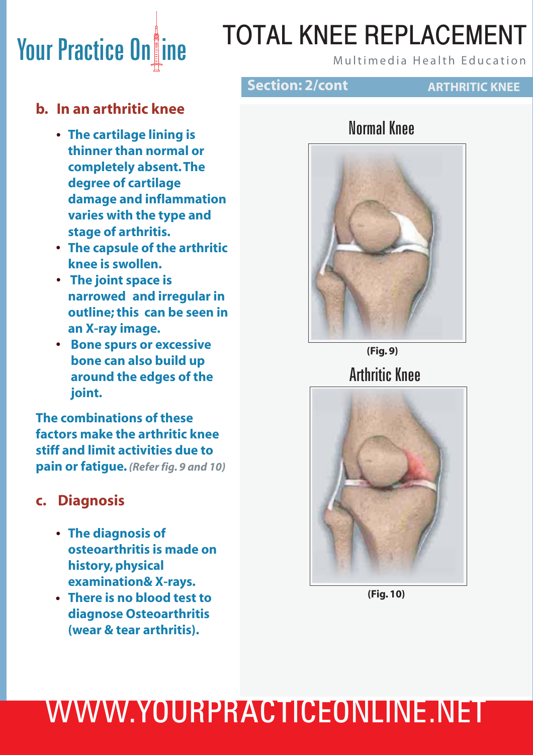# Your Practice On ine Multimedia Health Education TOTAL KNEE REPLACEMENT

### **b. In an arthritic knee**

- **The cartilage lining is • thinner than normal or completely absent. The degree of cartilage damage and inflammation varies with the type and stage of arthritis.**
- **The capsule of the arthritic • knee is swollen.**
- **The joint space is • narrowed and irregular in outline; this can be seen in an X-ray image.**
- **Bone spurs or excessive • bone can also build up around the edges of the joint.**

**The combinations of these factors make the arthritic knee stiff and limit activities due to pain or fatigue.** *(Refer fig. 9 and 10)*

### **c. Diagnosis**

- **The diagnosis of • osteoarthritis is made on history, physical examination& X-rays.**
- **There is no blood test to • diagnose Osteoarthritis (wear & tear arthritis).**

### **Section: 2/cont**

### **ARTHRITIC KNEE**

### Normal Knee



Arthritic Knee **(Fig. 9)**



**(Fig. 10)**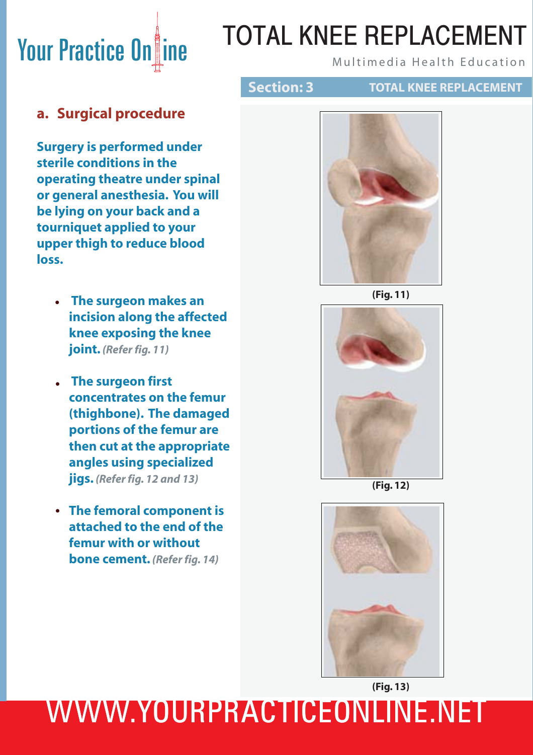# **Your Practice On ine Audit ANEL REPLACEMENT** TOTAL KNEE REPLACEMENT

**Section: 3 TOTAL KNEE REPLACEMENT** 

### **a. Surgical procedure**

**Surgery is performed under sterile conditions in the operating theatre under spinal or general anesthesia. You will be lying on your back and a tourniquet applied to your upper thigh to reduce blood loss.**

- **The surgeon makes an • incision along the affected knee exposing the knee joint.** *(Refer fig. 11)*
- **The surgeon first • concentrates on the femur (thighbone). The damaged portions of the femur are then cut at the appropriate angles using specialized jigs.** *(Refer fig. 12 and 13)*
- **The femoral component is • attached to the end of the femur with or without bone cement.** *(Refer fig. 14)*



**(Fig. 11)**



**(Fig. 12)**

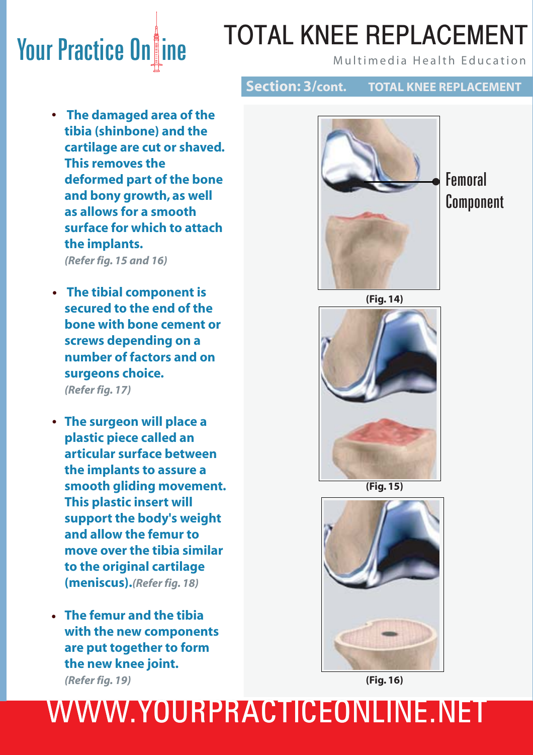# Your Practice Online Mand Total KNEE REPLACEMENT TOTAL KNEE REPLACEMENT

- **Section: 3/cont. TOTAL KNEE REPLACEMENT**
- **The damaged area of the • tibia (shinbone) and the cartilage are cut or shaved. This removes the deformed part of the bone and bony growth, as well as allows for a smooth surface for which to attach the implants.**

 *(Refer fig. 15 and 16)*

- **The tibial component is • secured to the end of the bone with bone cement or screws depending on a number of factors and on surgeons choice.**   *(Refer fig. 17)*
- **The surgeon will place a • plastic piece called an articular surface between the implants to assure a smooth gliding movement. This plastic insert will support the body's weight and allow the femur to move over the tibia similar to the original cartilage (meniscus).***(Refer fig. 18)*
- **The femur and the tibia • with the new components are put together to form the new knee joint.** *(Refer fig. 19)*



**Femoral** Component





**(Fig. 15)**



**(Fig. 16)**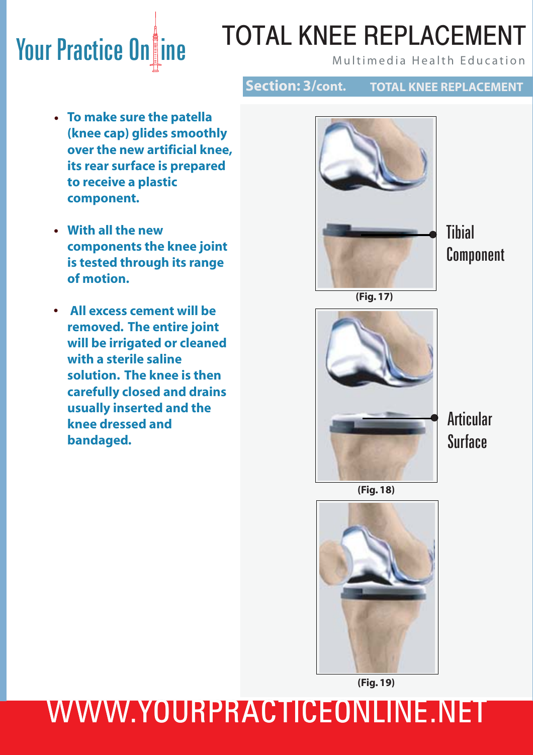# Your Practice Online Mand Multimedia Health Education TOTAL KNEE REPLACEMENT

**Section: 3/cont. TOTAL KNEE REPLACEMENT**

- **To make sure the patella • (knee cap) glides smoothly over the new artificial knee, its rear surface is prepared to receive a plastic component.**
- **With all the new • components the knee joint is tested through its range of motion.**
	- **All excess cement will be removed. The entire joint will be irrigated or cleaned with a sterile saline solution. The knee is then carefully closed and drains usually inserted and the knee dressed and bandaged. •**



**Tihial** Component

**(Fig. 17)**



**Articular** Surface

**(Fig. 18)**



**(Fig. 19)**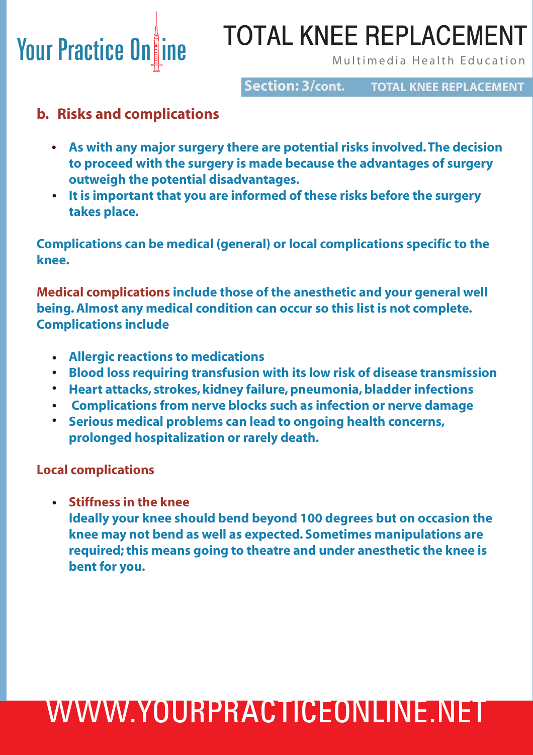

# TOTAL KNEE REPLACEMENT

**Section: 3/cont.**

**TOTAL KNEE REPLACEMENT**

### **b. Risks and complications**

- **As with any major surgery there are potential risks involved. The decision • to proceed with the surgery is made because the advantages of surgery outweigh the potential disadvantages.**
- **It is important that you are informed of these risks before the surgery • takes place.**

**Complications can be medical (general) or local complications specific to the knee.**

**Medical complications include those of the anesthetic and your general well being. Almost any medical condition can occur so this list is not complete. Complications include**

- **Allergic reactions to medications •**
- **•** Blood loss requiring transfusion with its low risk of disease transmission
- **•** Heart attacks, strokes, kidney failure, pneumonia, bladder infections
- **Complications from nerve blocks such as infection or nerve damage •**
	- **Serious medical problems can lead to ongoing health concerns, prolonged hospitalization or rarely death. •**

**Local complications**

**Stiffness in the knee •**

 **Ideally your knee should bend beyond 100 degrees but on occasion the knee may not bend as well as expected. Sometimes manipulations are required; this means going to theatre and under anesthetic the knee is bent for you.**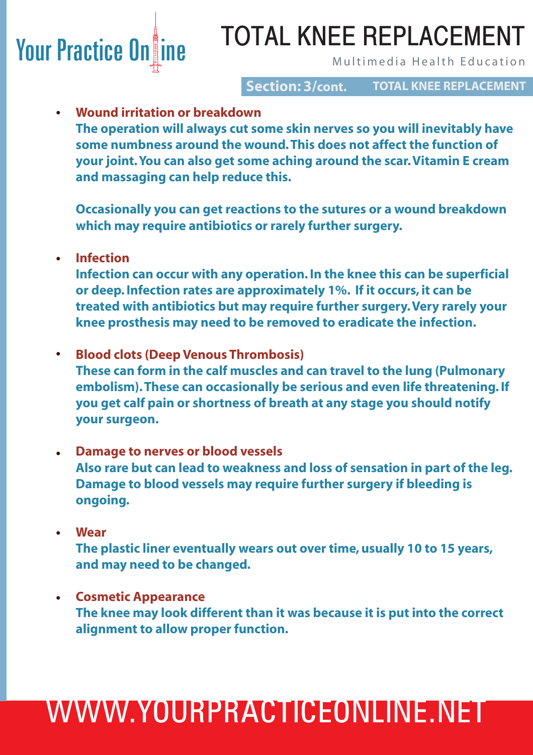# Your Practice On ine Multimedia Health Education TOTAL KNEE REPLACEMENT

**Section: 3/cont. TOTAL KNEE REPLACEMENT**

### **Wound irritation or breakdown •**

 **The operation will always cut some skin nerves so you will inevitably have some numbness around the wound. This does not affect the function of your joint. You can also get some aching around the scar. Vitamin E cream and massaging can help reduce this.** 

 **Occasionally you can get reactions to the sutures or a wound breakdown which may require antibiotics or rarely further surgery.**

**Infection •**

> **Infection can occur with any operation. In the knee this can be superficial or deep. Infection rates are approximately 1%. If it occurs, it can be treated with antibiotics but may require further surgery. Very rarely your knee prosthesis may need to be removed to eradicate the infection.**

- **Blood clots (Deep Venous Thrombosis) These can form in the calf muscles and can travel to the lung (Pulmonary embolism). These can occasionally be serious and even life threatening. If you get calf pain or shortness of breath at any stage you should notify your surgeon. •**
- **Damage to nerves or blood vessels Also rare but can lead to weakness and loss of sensation in part of the leg. Damage to blood vessels may require further surgery if bleeding is ongoing. •**
- **Wear The plastic liner eventually wears out over time, usually 10 to 15 years, and may need to be changed. •**
- **Cosmetic Appearance The knee may look different than it was because it is put into the correct alignment to allow proper function. •**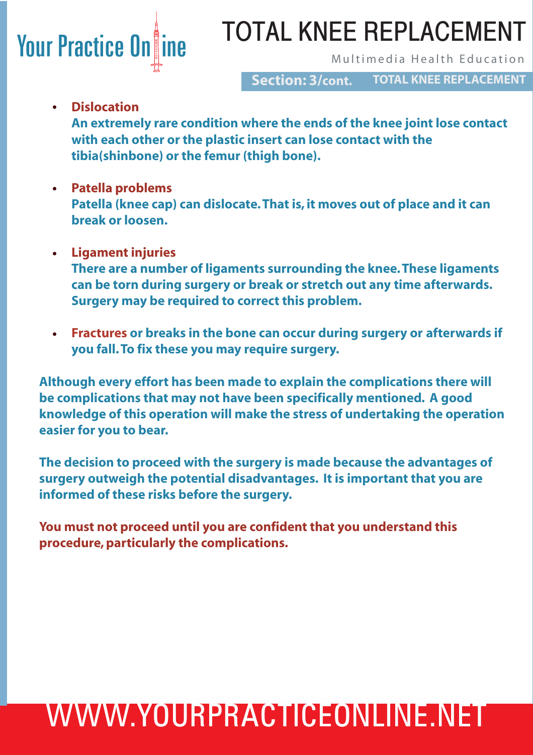# **Your Practice On ine Aultimedia Health Education**

# TOTAL KNEE REPLACEMENT

**TOTAL KNEE REPLACEMENT Section: 3/cont.**

**Dislocation •**

 **An extremely rare condition where the ends of the knee joint lose contact with each other or the plastic insert can lose contact with the tibia(shinbone) or the femur (thigh bone).** 

- **Patella problems • Patella (knee cap) can dislocate. That is, it moves out of place and it can break or loosen.**
- **Ligament injuries • There are a number of ligaments surrounding the knee. These ligaments can be torn during surgery or break or stretch out any time afterwards. Surgery may be required to correct this problem.**
- **Fractures or breaks in the bone can occur during surgery or afterwards if you fall. To fix these you may require surgery. •**

**Although every effort has been made to explain the complications there will be complications that may not have been specifically mentioned. A good knowledge of this operation will make the stress of undertaking the operation easier for you to bear.** 

**The decision to proceed with the surgery is made because the advantages of surgery outweigh the potential disadvantages. It is important that you are informed of these risks before the surgery.**

**You must not proceed until you are confident that you understand this procedure, particularly the complications.** 

# WWW.YOURPRACTICEONLINE.NET WWW.YOURPRACTICEONLINE.NET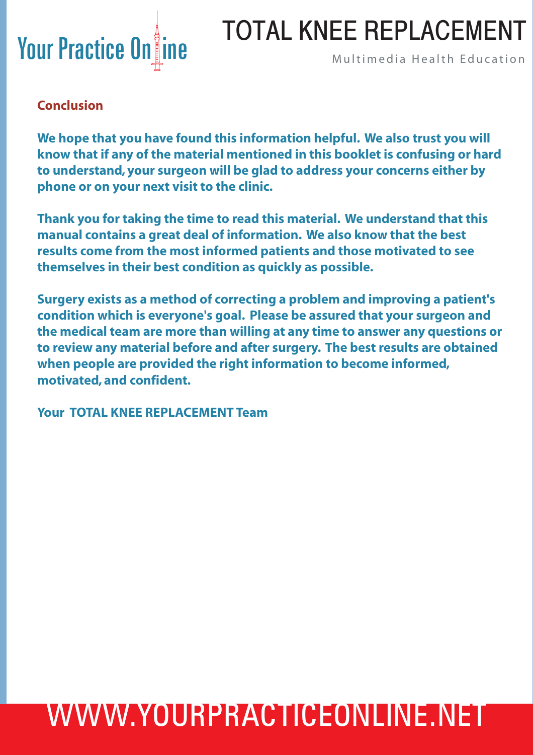

### **Conclusion**

**We hope that you have found this information helpful. We also trust you will know that if any of the material mentioned in this booklet is confusing or hard to understand, your surgeon will be glad to address your concerns either by phone or on your next visit to the clinic.**

**Thank you for taking the time to read this material. We understand that this manual contains a great deal of information. We also know that the best results come from the most informed patients and those motivated to see themselves in their best condition as quickly as possible.**

**Surgery exists as a method of correcting a problem and improving a patient's condition which is everyone's goal. Please be assured that your surgeon and the medical team are more than willing at any time to answer any questions or to review any material before and after surgery. The best results are obtained when people are provided the right information to become informed, motivated, and confident.**

**Your TOTAL KNEE REPLACEMENT Team**